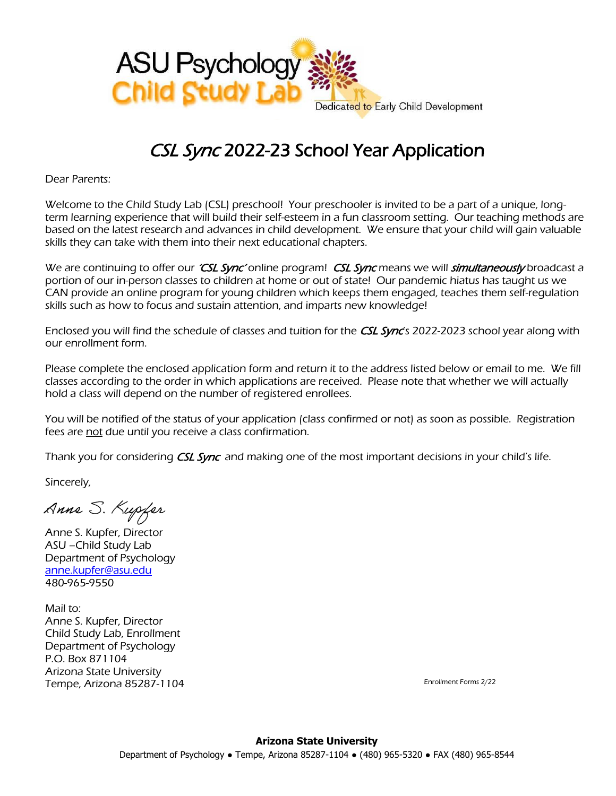

## CSL Sync 2022-23 School Year Application

Dear Parents:

Welcome to the Child Study Lab (CSL) preschool! Your preschooler is invited to be a part of a unique, longterm learning experience that will build their self-esteem in a fun classroom setting. Our teaching methods are based on the latest research and advances in child development. We ensure that your child will gain valuable skills they can take with them into their next educational chapters.

We are continuing to offer our *'CSL Sync'* online program! *CSL Sync* means we will *simultaneously* broadcast a portion of our in-person classes to children at home or out of state! Our pandemic hiatus has taught us we CAN provide an online program for young children which keeps them engaged, teaches them self-regulation skills such as how to focus and sustain attention, and imparts new knowledge!

Enclosed you will find the schedule of classes and tuition for the CSL Sync's 2022-2023 school year along with our enrollment form.

Please complete the enclosed application form and return it to the address listed below or email to me. We fill classes according to the order in which applications are received. Please note that whether we will actually hold a class will depend on the number of registered enrollees.

You will be notified of the status of your application (class confirmed or not) as soon as possible. Registration fees are not due until you receive a class confirmation.

Thank you for considering *CSL Sync* and making one of the most important decisions in your child's life.

Sincerely,

Anne S. Kupfer

Anne S. Kupfer, Director ASU –Child Study Lab Department of Psychology [anne.kupfer@asu.edu](mailto:anne.kupfer@asu.edu) 480-965-9550

Mail to: Anne S. Kupfer, Director Child Study Lab, Enrollment Department of Psychology P.O. Box 871104 Arizona State University Tempe, Arizona 85287-1104

Enrollment Forms 2/22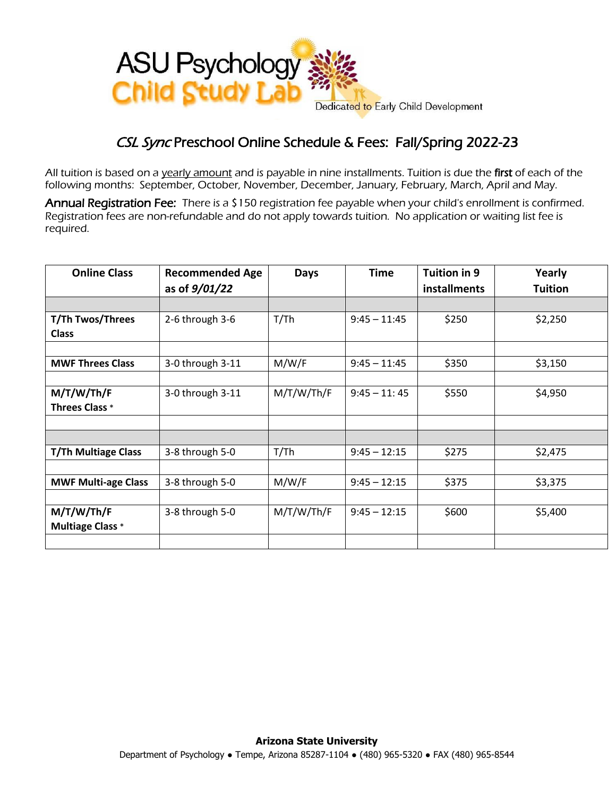

## CSL Sync Preschool Online Schedule & Fees: Fall/Spring 2022-23

All tuition is based on a yearly amount and is payable in nine installments. Tuition is due the first of each of the following months: September, October, November, December, January, February, March, April and May.

Annual Registration Fee: There is a \$150 registration fee payable when your child's enrollment is confirmed. Registration fees are non-refundable and do not apply towards tuition. No application or waiting list fee is required.

| <b>Online Class</b>        | <b>Recommended Age</b><br>as of $9/01/22$ | <b>Days</b> | <b>Time</b>    | Tuition in 9<br>installments | Yearly<br><b>Tuition</b> |
|----------------------------|-------------------------------------------|-------------|----------------|------------------------------|--------------------------|
|                            |                                           |             |                |                              |                          |
| T/Th Twos/Threes           | 2-6 through 3-6                           | T/Th        | $9:45 - 11:45$ | \$250                        | \$2,250                  |
| <b>Class</b>               |                                           |             |                |                              |                          |
|                            |                                           |             |                |                              |                          |
| <b>MWF Threes Class</b>    | 3-0 through 3-11                          | M/W/F       | $9:45 - 11:45$ | \$350                        | \$3,150                  |
|                            |                                           |             |                |                              |                          |
| M/T/W/Th/F                 | 3-0 through 3-11                          | M/T/W/Th/F  | $9:45 - 11:45$ | \$550                        | \$4,950                  |
| <b>Threes Class *</b>      |                                           |             |                |                              |                          |
|                            |                                           |             |                |                              |                          |
|                            |                                           |             |                |                              |                          |
| <b>T/Th Multiage Class</b> | 3-8 through 5-0                           | T/Th        | $9:45 - 12:15$ | \$275                        | \$2,475                  |
|                            |                                           |             |                |                              |                          |
| <b>MWF Multi-age Class</b> | 3-8 through 5-0                           | M/W/F       | $9:45 - 12:15$ | \$375                        | \$3,375                  |
|                            |                                           |             |                |                              |                          |
| M/T/W/Th/F                 | 3-8 through 5-0                           | M/T/W/Th/F  | $9:45 - 12:15$ | \$600                        | \$5,400                  |
| <b>Multiage Class *</b>    |                                           |             |                |                              |                          |
|                            |                                           |             |                |                              |                          |